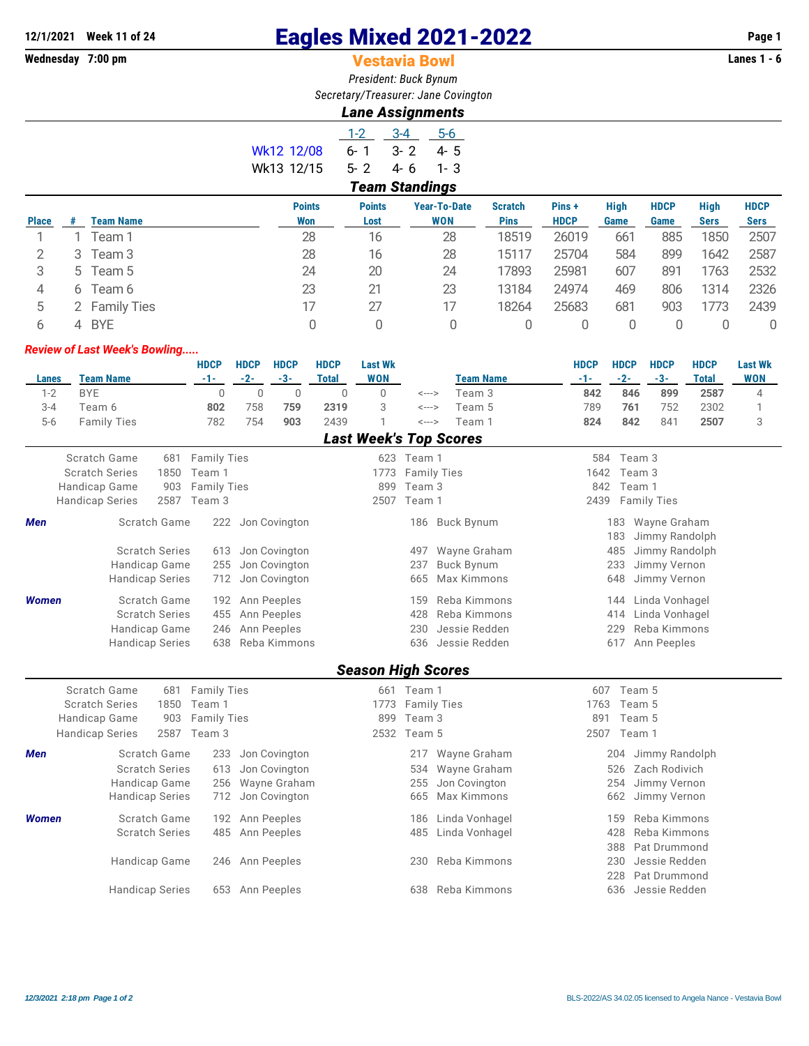## **12/1/2021 Week 11 of 24 Eagles Mixed 2021-2022 Page 1**

## **Vestavia Bowl**

*President: Buck Bynum Secretary/Treasurer: Jane Covington*

## *Lane Assignments*

|            | $1-2$                 | 3-4 5-6 |          |  |  |  |  |  |  |  |  |
|------------|-----------------------|---------|----------|--|--|--|--|--|--|--|--|
| Wk12 12/08 | ճ- 1                  | $3 - 2$ | 45.5     |  |  |  |  |  |  |  |  |
| Wk13 12/15 | $5 - 2$               | 4-6     | $-1 - 3$ |  |  |  |  |  |  |  |  |
|            | <b>Team Standings</b> |         |          |  |  |  |  |  |  |  |  |

|              | - - - |                  |                             |                       |                                   |                               |                       |                     |                     |                            |                            |  |  |
|--------------|-------|------------------|-----------------------------|-----------------------|-----------------------------------|-------------------------------|-----------------------|---------------------|---------------------|----------------------------|----------------------------|--|--|
| <b>Place</b> |       | <b>Team Name</b> | <b>Points</b><br><b>Won</b> | <b>Points</b><br>Lost | <b>Year-To-Date</b><br><b>WON</b> | <b>Scratch</b><br><b>Pins</b> | Pins +<br><b>HDCP</b> | <b>High</b><br>Game | <b>HDCP</b><br>Game | <b>High</b><br><b>Sers</b> | <b>HDCP</b><br><b>Sers</b> |  |  |
|              |       | Team 1           | 28                          | 16                    | 28                                | 18519                         | 26019                 | 661                 | 885                 | 1850                       | 2507                       |  |  |
|              | 3     | Team 3           | 28                          | 16                    | 28                                | 15117                         | 25704                 | 584                 | 899                 | 1642                       | 2587                       |  |  |
| 3            | 5.    | Team 5           | 24                          | 20                    | 24                                | 17893                         | 25981                 | 607                 | 891                 | 1763                       | 2532                       |  |  |
| 4            | 6     | Team 6           | 23                          | 21                    | 23                                | 13184                         | 24974                 | 469                 | 806                 | 1314                       | 2326                       |  |  |
|              |       | 2 Family Ties    | 17                          | 27                    | 17                                | 18264                         | 25683                 | 681                 | 903                 | 1773                       | 2439                       |  |  |
| ь            | 4     | <b>BYE</b>       |                             | 0                     |                                   |                               |                       |                     |                     |                            | 0                          |  |  |
|              |       |                  |                             |                       |                                   |                               |                       |                     |                     |                            |                            |  |  |

## *Review of Last Week's Bowling.....*

|              |                        |                       | <b>HDCP</b>        | <b>HDCP</b>    | <b>HDCP</b>   | <b>HDCP</b>  | <b>Last Wk</b>            |                            |                               | <b>HDCP</b> | <b>HDCP</b> | <b>HDCP</b>    | <b>HDCP</b>  | <b>Last Wk</b> |
|--------------|------------------------|-----------------------|--------------------|----------------|---------------|--------------|---------------------------|----------------------------|-------------------------------|-------------|-------------|----------------|--------------|----------------|
| Lanes        | <b>Team Name</b>       |                       | $-1-$              | $-2-$          | $-3-$         | <b>Total</b> | <b>WON</b>                |                            | <b>Team Name</b>              | $-1-$       | $-2-$       | $-3-$          | <b>Total</b> | <b>WON</b>     |
| $1 - 2$      | <b>BYE</b>             |                       | $\mathbf{0}$       | $\overline{0}$ | $\mathbf 0$   | 0            | $\Omega$                  | $\leftarrow$ $\rightarrow$ | Team 3                        | 842         | 846         | 899            | 2587         | 4              |
| $3 - 4$      | Team 6                 |                       | 802                | 758            | 759           | 2319         | 3                         | <--->                      | Team 5                        | 789         | 761         | 752            | 2302         |                |
| $5-6$        | <b>Family Ties</b>     |                       | 782                | 754            | 903           | 2439         |                           | $\leftarrow$ $\rightarrow$ | Team 1                        | 824         | 842         | 841            | 2507         | 3              |
|              |                        |                       |                    |                |               |              |                           |                            | <b>Last Week's Top Scores</b> |             |             |                |              |                |
|              | Scratch Game           | 681                   | <b>Family Ties</b> |                |               |              | 623                       | Team 1                     |                               | 584         | Team 3      |                |              |                |
|              | <b>Scratch Series</b>  | 1850                  | Team 1             |                |               |              | 1773                      |                            | <b>Family Ties</b>            | 1642        | Team 3      |                |              |                |
|              | Handicap Game          | 903                   | <b>Family Ties</b> |                |               |              | 899                       | Team 3                     |                               | 842         | Team 1      |                |              |                |
|              | Handicap Series        | 2587                  | Team 3             |                |               |              | 2507                      | Team 1                     |                               | 2439        |             | Family Ties    |              |                |
| <b>Men</b>   |                        | Scratch Game          | 222                |                | Jon Covington |              |                           |                            | 186 Buck Bynum                |             | 183         | Wayne Graham   |              |                |
|              |                        |                       |                    |                |               |              |                           |                            |                               |             | 183         | Jimmy Randolph |              |                |
|              |                        | <b>Scratch Series</b> | 613                |                | Jon Covington |              |                           | 497                        | Wayne Graham                  |             | 485         | Jimmy Randolph |              |                |
|              | Handicap Game          |                       | 255                |                | Jon Covington |              |                           | 237                        | <b>Buck Bynum</b>             |             | 233         | Jimmy Vernon   |              |                |
|              | <b>Handicap Series</b> |                       | 712                |                | Jon Covington |              |                           | 665                        | Max Kimmons                   |             | 648         | Jimmy Vernon   |              |                |
| <b>Women</b> |                        | Scratch Game          | 192                |                | Ann Peeples   |              |                           | 159                        | Reba Kimmons                  |             | 144         | Linda Vonhagel |              |                |
|              |                        | <b>Scratch Series</b> | 455                |                | Ann Peeples   |              |                           | 428                        | Reba Kimmons                  |             | 414         | Linda Vonhagel |              |                |
|              | Handicap Game          |                       | 246                |                | Ann Peeples   |              |                           | 230                        | Jessie Redden                 |             | 229         | Reba Kimmons   |              |                |
|              | <b>Handicap Series</b> |                       | 638                |                | Reba Kimmons  |              |                           | 636                        | Jessie Redden                 |             | 617         | Ann Peeples    |              |                |
|              |                        |                       |                    |                |               |              | <b>Season High Scores</b> |                            |                               |             |             |                |              |                |
|              | Scratch Game           | 681                   | <b>Family Ties</b> |                |               |              | 661                       | Team 1                     |                               | 607         | Team 5      |                |              |                |
|              | <b>Scratch Series</b>  | 1850                  | Team 1             |                |               |              | 1773                      |                            | <b>Family Ties</b>            | 1763        | Team 5      |                |              |                |
|              | Handican Game          | <b>POP</b>            | <b>Eamily Ties</b> |                |               |              |                           | $899$ Team 3               |                               | 891         | Team 5      |                |              |                |

|       | Scratch Series<br>185U         | leam I          |                   |     |             | I//3 Family Lles   | 1763 | lleam 5            |
|-------|--------------------------------|-----------------|-------------------|-----|-------------|--------------------|------|--------------------|
|       | Handicap Game                  | 903 Family Ties |                   | 899 | Team 3      |                    | 891  | Team 5             |
|       | <b>Handicap Series</b><br>2587 | Team 3          |                   |     | 2532 Team 5 |                    | 2507 | Team 1             |
| Men   | Scratch Game                   | 233             | Jon Covington     |     |             | 217 Wayne Graham   |      | 204 Jimmy Randolph |
|       | <b>Scratch Series</b>          | 613             | Jon Covington     |     |             | 534 Wayne Graham   | 526  | Zach Rodivich      |
|       | Handicap Game                  |                 | 256 Wayne Graham  |     |             | 255 Jon Covington  |      | 254 Jimmy Vernon   |
|       | <b>Handicap Series</b>         |                 | 712 Jon Covington |     |             | 665 Max Kimmons    |      | 662 Jimmy Vernon   |
| Women | Scratch Game                   | 192             | Ann Peeples       |     | 186         | Linda Vonhagel     | 159  | Reba Kimmons       |
|       | <b>Scratch Series</b>          |                 | 485 Ann Peeples   |     |             | 485 Linda Vonhagel | 428  | Reba Kimmons       |
|       |                                |                 |                   |     |             |                    | 388  | Pat Drummond       |
|       | Handicap Game                  | 246             | Ann Peeples       |     | 230         | Reba Kimmons       | 230  | Jessie Redden      |
|       |                                |                 |                   |     |             |                    | 228  | Pat Drummond       |
|       | <b>Handicap Series</b>         | 653             | Ann Peeples       |     | 638         | Reba Kimmons       | 636  | Jessie Redden      |
|       |                                |                 |                   |     |             |                    |      |                    |